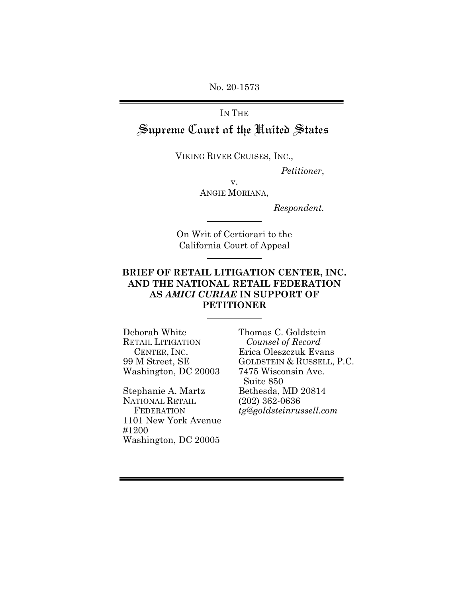No. 20-1573

# IN THE Supreme Court of the United States

VIKING RIVER CRUISES, INC.,

 *Petitioner*,

v. ANGIE MORIANA,

*Respondent.*

On Writ of Certiorari to the California Court of Appeal

### **BRIEF OF RETAIL LITIGATION CENTER, INC. AND THE NATIONAL RETAIL FEDERATION AS** *AMICI CURIAE* **IN SUPPORT OF PETITIONER**

Deborah White RETAIL LITIGATION CENTER, INC. 99 M Street, SE Washington, DC 20003

Stephanie A. Martz NATIONAL RETAIL **FEDERATION** 1101 New York Avenue #1200 Washington, DC 20005

Thomas C. Goldstein *Counsel of Record* Erica Oleszczuk Evans GOLDSTEIN & RUSSELL, P.C. 7475 Wisconsin Ave. Suite 850 Bethesda, MD 20814 (202) 362-0636 *tg@goldsteinrussell.com*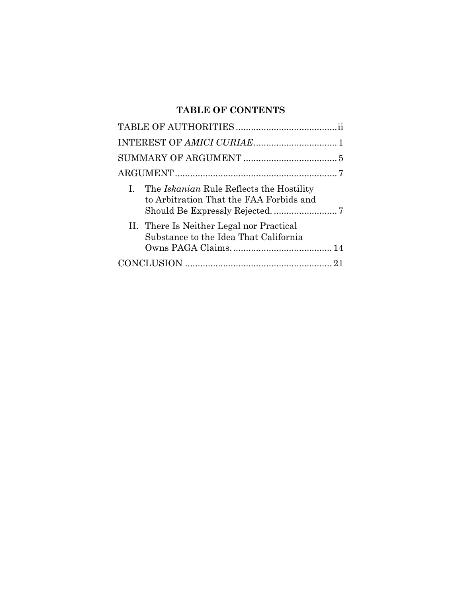# **TABLE OF CONTENTS**

| I. The Iskanian Rule Reflects the Hostility<br>to Arbitration That the FAA Forbids and |
|----------------------------------------------------------------------------------------|
| II. There Is Neither Legal nor Practical<br>Substance to the Idea That California      |
|                                                                                        |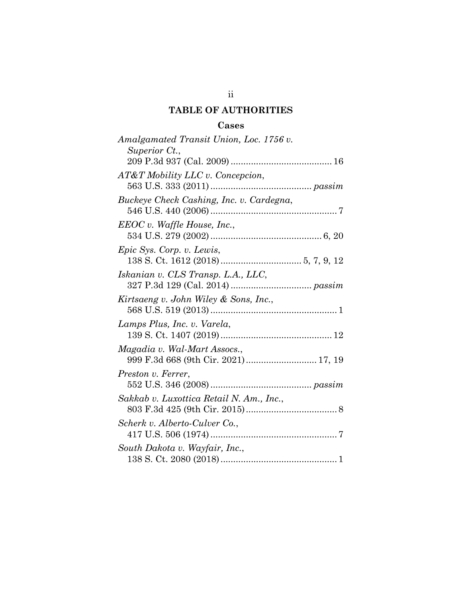## **TABLE OF AUTHORITIES**

### **Cases**

<span id="page-2-0"></span>

| Amalgamated Transit Union, Loc. 1756 v.<br>Superior Ct.,            |
|---------------------------------------------------------------------|
| AT&T Mobility LLC v. Concepcion,                                    |
| Buckeye Check Cashing, Inc. v. Cardegna,                            |
| $EEOC v.$ Waffle House, Inc.,                                       |
| Epic Sys. Corp. v. Lewis,                                           |
| Iskanian v. CLS Transp. L.A., LLC,                                  |
| Kirtsaeng v. John Wiley & Sons, Inc.,                               |
| Lamps Plus, Inc. v. Varela,                                         |
| Magadia v. Wal-Mart Assocs.,<br>999 F.3d 668 (9th Cir. 2021) 17, 19 |
| Preston v. Ferrer,                                                  |
| Sakkab v. Luxottica Retail N. Am., Inc.,                            |
| Scherk v. Alberto-Culver Co.,                                       |
| South Dakota v. Wayfair, Inc.,                                      |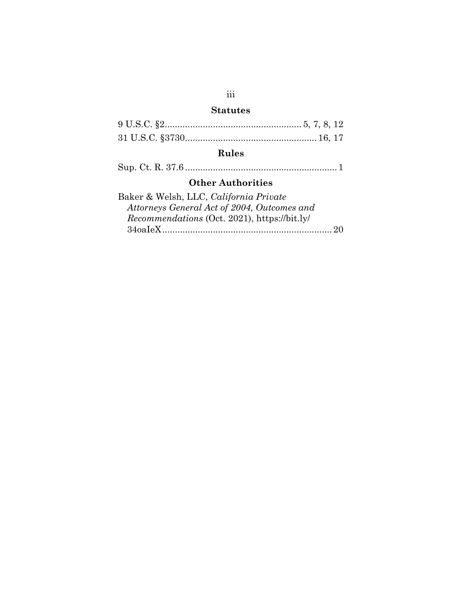# **Statutes**

# **Rules**

Sup. Ct. R. 37.6 ............................................................ 1

### **Other Authorities**

| Baker & Welsh, LLC, California Private              |  |
|-----------------------------------------------------|--|
| Attorneys General Act of 2004, Outcomes and         |  |
| <i>Recommendations</i> (Oct. 2021), https://bit.ly/ |  |
|                                                     |  |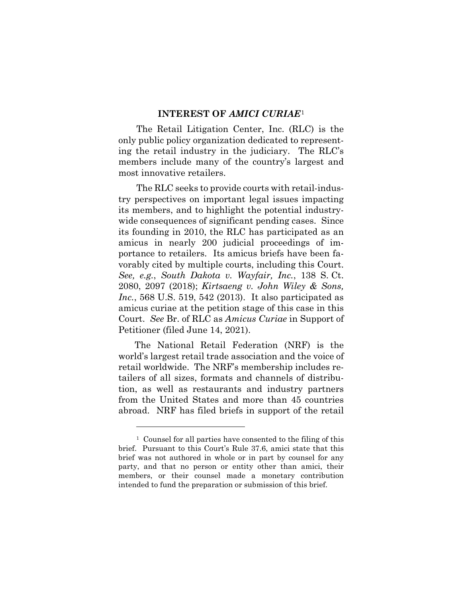#### **INTEREST OF** *AMICI CURIAE*[1](#page-4-1)

<span id="page-4-0"></span>The Retail Litigation Center, Inc. (RLC) is the only public policy organization dedicated to representing the retail industry in the judiciary. The RLC's members include many of the country's largest and most innovative retailers.

The RLC seeks to provide courts with retail-industry perspectives on important legal issues impacting its members, and to highlight the potential industrywide consequences of significant pending cases. Since its founding in 2010, the RLC has participated as an amicus in nearly 200 judicial proceedings of importance to retailers. Its amicus briefs have been favorably cited by multiple courts, including this Court. *See, e.g.*, *South Dakota v. Wayfair, Inc.*, 138 S. Ct. 2080, 2097 (2018); *Kirtsaeng v. John Wiley & Sons, Inc.*, 568 U.S. 519, 542 (2013). It also participated as amicus curiae at the petition stage of this case in this Court. *See* Br. of RLC as *Amicus Curiae* in Support of Petitioner (filed June 14, 2021).

The National Retail Federation (NRF) is the world's largest retail trade association and the voice of retail worldwide. The NRF's membership includes retailers of all sizes, formats and channels of distribution, as well as restaurants and industry partners from the United States and more than 45 countries abroad. NRF has filed briefs in support of the retail

<span id="page-4-1"></span><sup>1</sup> Counsel for all parties have consented to the filing of this brief. Pursuant to this Court's Rule 37.6, amici state that this brief was not authored in whole or in part by counsel for any party, and that no person or entity other than amici, their members, or their counsel made a monetary contribution intended to fund the preparation or submission of this brief.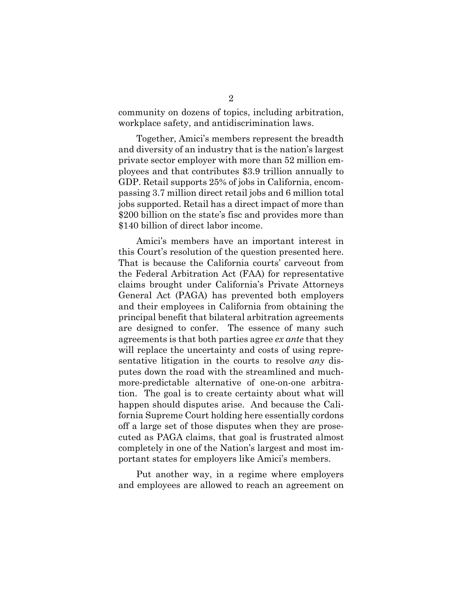community on dozens of topics, including arbitration, workplace safety, and antidiscrimination laws.

Together, Amici's members represent the breadth and diversity of an industry that is the nation's largest private sector employer with more than 52 million employees and that contributes \$3.9 trillion annually to GDP. Retail supports 25% of jobs in California, encompassing 3.7 million direct retail jobs and 6 million total jobs supported. Retail has a direct impact of more than \$200 billion on the state's fisc and provides more than \$140 billion of direct labor income.

Amici's members have an important interest in this Court's resolution of the question presented here. That is because the California courts' carveout from the Federal Arbitration Act (FAA) for representative claims brought under California's Private Attorneys General Act (PAGA) has prevented both employers and their employees in California from obtaining the principal benefit that bilateral arbitration agreements are designed to confer. The essence of many such agreements is that both parties agree *ex ante* that they will replace the uncertainty and costs of using representative litigation in the courts to resolve *any* disputes down the road with the streamlined and muchmore-predictable alternative of one-on-one arbitration. The goal is to create certainty about what will happen should disputes arise. And because the California Supreme Court holding here essentially cordons off a large set of those disputes when they are prosecuted as PAGA claims, that goal is frustrated almost completely in one of the Nation's largest and most important states for employers like Amici's members.

Put another way, in a regime where employers and employees are allowed to reach an agreement on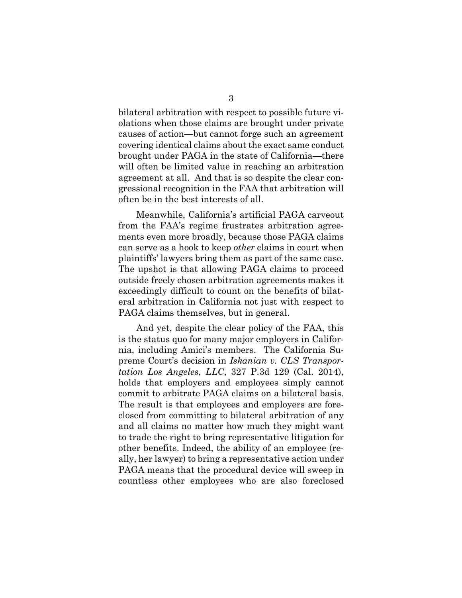bilateral arbitration with respect to possible future violations when those claims are brought under private causes of action—but cannot forge such an agreement covering identical claims about the exact same conduct brought under PAGA in the state of California—there will often be limited value in reaching an arbitration agreement at all. And that is so despite the clear congressional recognition in the FAA that arbitration will often be in the best interests of all.

Meanwhile, California's artificial PAGA carveout from the FAA's regime frustrates arbitration agreements even more broadly, because those PAGA claims can serve as a hook to keep *other* claims in court when plaintiffs' lawyers bring them as part of the same case. The upshot is that allowing PAGA claims to proceed outside freely chosen arbitration agreements makes it exceedingly difficult to count on the benefits of bilateral arbitration in California not just with respect to PAGA claims themselves, but in general.

And yet, despite the clear policy of the FAA, this is the status quo for many major employers in California, including Amici's members. The California Supreme Court's decision in *Iskanian v. CLS Transportation Los Angeles*, *LLC*, 327 P.3d 129 (Cal. 2014), holds that employers and employees simply cannot commit to arbitrate PAGA claims on a bilateral basis. The result is that employees and employers are foreclosed from committing to bilateral arbitration of any and all claims no matter how much they might want to trade the right to bring representative litigation for other benefits. Indeed, the ability of an employee (really, her lawyer) to bring a representative action under PAGA means that the procedural device will sweep in countless other employees who are also foreclosed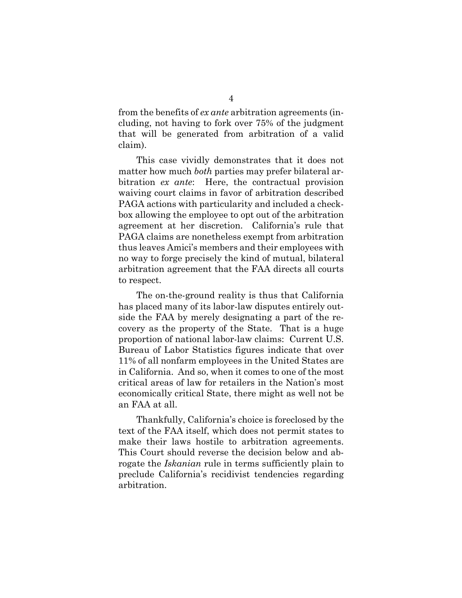from the benefits of *ex ante* arbitration agreements (including, not having to fork over 75% of the judgment that will be generated from arbitration of a valid claim).

This case vividly demonstrates that it does not matter how much *both* parties may prefer bilateral arbitration *ex ante*:Here, the contractual provision waiving court claims in favor of arbitration described PAGA actions with particularity and included a checkbox allowing the employee to opt out of the arbitration agreement at her discretion. California's rule that PAGA claims are nonetheless exempt from arbitration thus leaves Amici's members and their employees with no way to forge precisely the kind of mutual, bilateral arbitration agreement that the FAA directs all courts to respect.

The on-the-ground reality is thus that California has placed many of its labor-law disputes entirely outside the FAA by merely designating a part of the recovery as the property of the State. That is a huge proportion of national labor-law claims: Current U.S. Bureau of Labor Statistics figures indicate that over 11% of all nonfarm employees in the United States are in California. And so, when it comes to one of the most critical areas of law for retailers in the Nation's most economically critical State, there might as well not be an FAA at all.

Thankfully, California's choice is foreclosed by the text of the FAA itself, which does not permit states to make their laws hostile to arbitration agreements. This Court should reverse the decision below and abrogate the *Iskanian* rule in terms sufficiently plain to preclude California's recidivist tendencies regarding arbitration.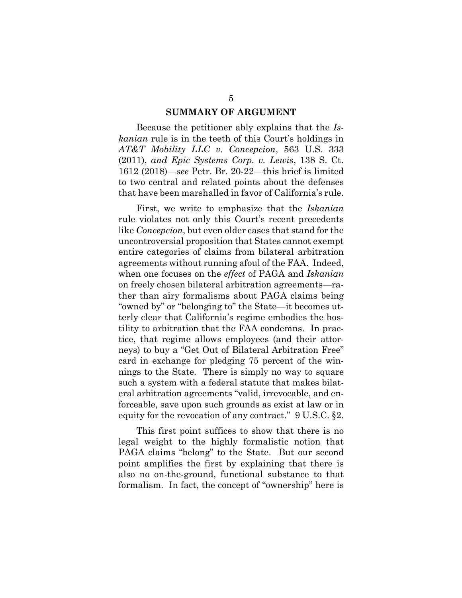#### **SUMMARY OF ARGUMENT**

<span id="page-8-0"></span>Because the petitioner ably explains that the *Iskanian* rule is in the teeth of this Court's holdings in *AT&T Mobility LLC v. Concepcion*, 563 U.S. 333 (2011), *and Epic Systems Corp. v. Lewis*, 138 S. Ct. 1612 (2018)—*see* Petr. Br. 20-22—this brief is limited to two central and related points about the defenses that have been marshalled in favor of California's rule.

First, we write to emphasize that the *Iskanian* rule violates not only this Court's recent precedents like *Concepcion*, but even older cases that stand for the uncontroversial proposition that States cannot exempt entire categories of claims from bilateral arbitration agreements without running afoul of the FAA. Indeed, when one focuses on the *effect* of PAGA and *Iskanian*  on freely chosen bilateral arbitration agreements—rather than airy formalisms about PAGA claims being "owned by" or "belonging to" the State—it becomes utterly clear that California's regime embodies the hostility to arbitration that the FAA condemns. In practice, that regime allows employees (and their attorneys) to buy a "Get Out of Bilateral Arbitration Free" card in exchange for pledging 75 percent of the winnings to the State. There is simply no way to square such a system with a federal statute that makes bilateral arbitration agreements "valid, irrevocable, and enforceable, save upon such grounds as exist at law or in equity for the revocation of any contract." 9 U.S.C. §2.

This first point suffices to show that there is no legal weight to the highly formalistic notion that PAGA claims "belong" to the State. But our second point amplifies the first by explaining that there is also no on-the-ground, functional substance to that formalism. In fact, the concept of "ownership" here is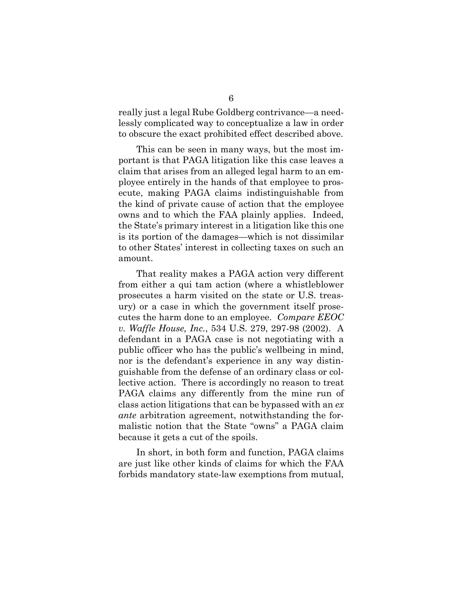really just a legal Rube Goldberg contrivance—a needlessly complicated way to conceptualize a law in order to obscure the exact prohibited effect described above.

This can be seen in many ways, but the most important is that PAGA litigation like this case leaves a claim that arises from an alleged legal harm to an employee entirely in the hands of that employee to prosecute, making PAGA claims indistinguishable from the kind of private cause of action that the employee owns and to which the FAA plainly applies. Indeed, the State's primary interest in a litigation like this one is its portion of the damages—which is not dissimilar to other States' interest in collecting taxes on such an amount.

That reality makes a PAGA action very different from either a qui tam action (where a whistleblower prosecutes a harm visited on the state or U.S. treasury) or a case in which the government itself prosecutes the harm done to an employee. *Compare EEOC v. Waffle House, Inc.*, 534 U.S. 279, 297-98 (2002). A defendant in a PAGA case is not negotiating with a public officer who has the public's wellbeing in mind, nor is the defendant's experience in any way distinguishable from the defense of an ordinary class or collective action. There is accordingly no reason to treat PAGA claims any differently from the mine run of class action litigations that can be bypassed with an *ex ante* arbitration agreement, notwithstanding the formalistic notion that the State "owns" a PAGA claim because it gets a cut of the spoils.

In short, in both form and function, PAGA claims are just like other kinds of claims for which the FAA forbids mandatory state-law exemptions from mutual,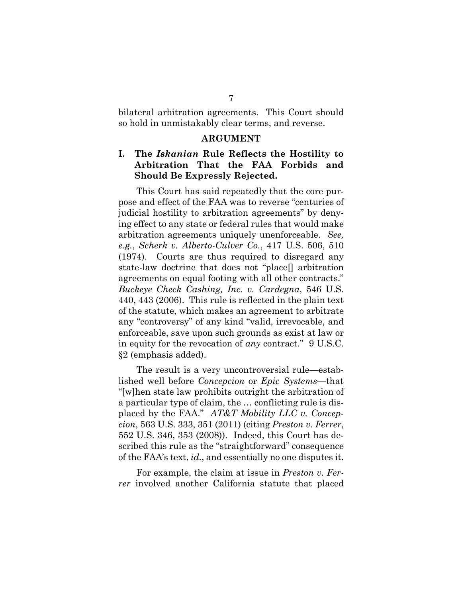bilateral arbitration agreements. This Court should so hold in unmistakably clear terms, and reverse.

#### **ARGUMENT**

### <span id="page-10-1"></span><span id="page-10-0"></span>**I. The** *Iskanian* **Rule Reflects the Hostility to Arbitration That the FAA Forbids and Should Be Expressly Rejected.**

This Court has said repeatedly that the core purpose and effect of the FAA was to reverse "centuries of judicial hostility to arbitration agreements" by denying effect to any state or federal rules that would make arbitration agreements uniquely unenforceable. *See, e.g.*, *Scherk v. Alberto-Culver Co.*, 417 U.S. 506, 510 (1974). Courts are thus required to disregard any state-law doctrine that does not "place[] arbitration agreements on equal footing with all other contracts." *Buckeye Check Cashing, Inc. v. Cardegna*, 546 U.S. 440, 443 (2006). This rule is reflected in the plain text of the statute, which makes an agreement to arbitrate any "controversy" of any kind "valid, irrevocable, and enforceable, save upon such grounds as exist at law or in equity for the revocation of *any* contract." 9 U.S.C. §2 (emphasis added).

The result is a very uncontroversial rule—established well before *Concepcion* or *Epic Systems*—that "[w]hen state law prohibits outright the arbitration of a particular type of claim, the … conflicting rule is displaced by the FAA." *AT&T Mobility LLC v. Concepcion*, 563 U.S. 333, 351 (2011) (citing *Preston v. Ferrer*, 552 U.S. 346, 353 (2008)). Indeed, this Court has described this rule as the "straightforward" consequence of the FAA's text, *id.*, and essentially no one disputes it.

For example, the claim at issue in *Preston v. Ferrer* involved another California statute that placed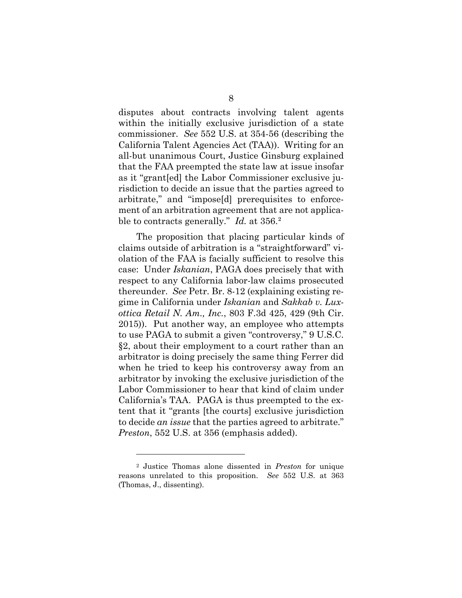disputes about contracts involving talent agents within the initially exclusive jurisdiction of a state commissioner. *See* 552 U.S. at 354-56 (describing the California Talent Agencies Act (TAA)). Writing for an all-but unanimous Court, Justice Ginsburg explained that the FAA preempted the state law at issue insofar as it "grant[ed] the Labor Commissioner exclusive jurisdiction to decide an issue that the parties agreed to arbitrate," and "impose[d] prerequisites to enforcement of an arbitration agreement that are not applicable to contracts generally." *Id.* at 356. [2](#page-11-0)

The proposition that placing particular kinds of claims outside of arbitration is a "straightforward" violation of the FAA is facially sufficient to resolve this case: Under *Iskanian*, PAGA does precisely that with respect to any California labor-law claims prosecuted thereunder. *See* Petr. Br. 8-12 (explaining existing regime in California under *Iskanian* and *Sakkab v. Luxottica Retail N. Am., Inc.*, 803 F.3d 425, 429 (9th Cir. 2015)). Put another way, an employee who attempts to use PAGA to submit a given "controversy," 9 U.S.C. §2, about their employment to a court rather than an arbitrator is doing precisely the same thing Ferrer did when he tried to keep his controversy away from an arbitrator by invoking the exclusive jurisdiction of the Labor Commissioner to hear that kind of claim under California's TAA. PAGA is thus preempted to the extent that it "grants [the courts] exclusive jurisdiction to decide *an issue* that the parties agreed to arbitrate." *Preston*, 552 U.S. at 356 (emphasis added).

<span id="page-11-0"></span><sup>2</sup> Justice Thomas alone dissented in *Preston* for unique reasons unrelated to this proposition. *See* 552 U.S. at 363 (Thomas, J., dissenting).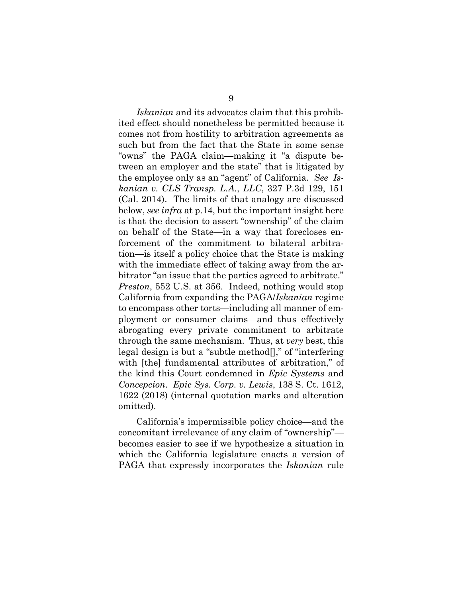*Iskanian* and its advocates claim that this prohibited effect should nonetheless be permitted because it comes not from hostility to arbitration agreements as such but from the fact that the State in some sense "owns" the PAGA claim—making it "a dispute between an employer and the state" that is litigated by the employee only as an "agent" of California. *See Iskanian v. CLS Transp. L.A.*, *LLC*, 327 P.3d 129, 151 (Cal. 2014). The limits of that analogy are discussed below, *see infra* at p.14, but the important insight here is that the decision to assert "ownership" of the claim on behalf of the State—in a way that forecloses enforcement of the commitment to bilateral arbitration—is itself a policy choice that the State is making with the immediate effect of taking away from the arbitrator "an issue that the parties agreed to arbitrate." *Preston*, 552 U.S. at 356. Indeed, nothing would stop California from expanding the PAGA/*Iskanian* regime to encompass other torts—including all manner of employment or consumer claims—and thus effectively abrogating every private commitment to arbitrate through the same mechanism. Thus, at *very* best, this legal design is but a "subtle method[]," of "interfering with [the] fundamental attributes of arbitration," of the kind this Court condemned in *Epic Systems* and *Concepcion*. *Epic Sys. Corp. v. Lewis*, 138 S. Ct. 1612, 1622 (2018) (internal quotation marks and alteration omitted).

California's impermissible policy choice—and the concomitant irrelevance of any claim of "ownership" becomes easier to see if we hypothesize a situation in which the California legislature enacts a version of PAGA that expressly incorporates the *Iskanian* rule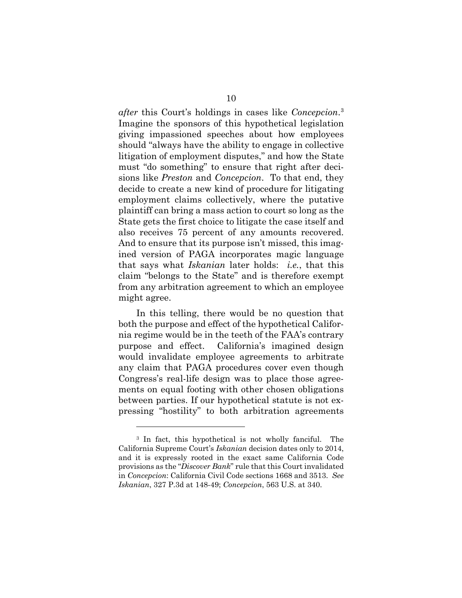*after* this Court's holdings in cases like *Concepcion*. [3](#page-13-0) Imagine the sponsors of this hypothetical legislation giving impassioned speeches about how employees should "always have the ability to engage in collective litigation of employment disputes," and how the State must "do something" to ensure that right after decisions like *Preston* and *Concepcion*. To that end, they decide to create a new kind of procedure for litigating employment claims collectively, where the putative plaintiff can bring a mass action to court so long as the State gets the first choice to litigate the case itself and also receives 75 percent of any amounts recovered. And to ensure that its purpose isn't missed, this imagined version of PAGA incorporates magic language that says what *Iskanian* later holds: *i.e.*, that this claim "belongs to the State" and is therefore exempt from any arbitration agreement to which an employee might agree.

In this telling, there would be no question that both the purpose and effect of the hypothetical California regime would be in the teeth of the FAA's contrary purpose and effect. California's imagined design would invalidate employee agreements to arbitrate any claim that PAGA procedures cover even though Congress's real-life design was to place those agreements on equal footing with other chosen obligations between parties. If our hypothetical statute is not expressing "hostility" to both arbitration agreements

<span id="page-13-0"></span><sup>3</sup> In fact, this hypothetical is not wholly fanciful. The California Supreme Court's *Iskanian* decision dates only to 2014, and it is expressly rooted in the exact same California Code provisions as the "*Discover Bank*" rule that this Court invalidated in *Concepcion*: California Civil Code sections 1668 and 3513. *See Iskanian*, 327 P.3d at 148-49; *Concepcion*, 563 U.S. at 340.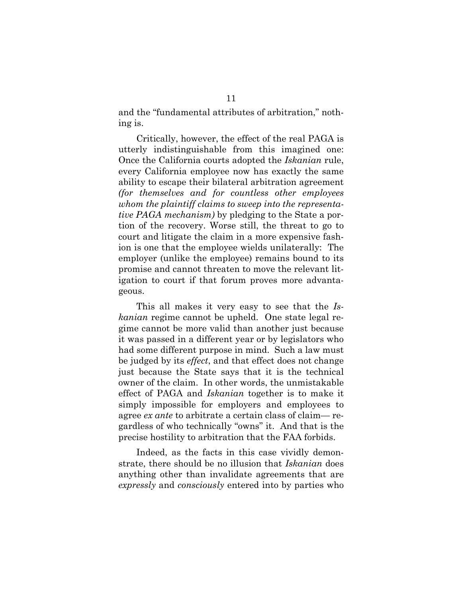and the "fundamental attributes of arbitration," nothing is.

Critically, however, the effect of the real PAGA is utterly indistinguishable from this imagined one: Once the California courts adopted the *Iskanian* rule, every California employee now has exactly the same ability to escape their bilateral arbitration agreement *(for themselves and for countless other employees whom the plaintiff claims to sweep into the representative PAGA mechanism)* by pledging to the State a portion of the recovery. Worse still, the threat to go to court and litigate the claim in a more expensive fashion is one that the employee wields unilaterally: The employer (unlike the employee) remains bound to its promise and cannot threaten to move the relevant litigation to court if that forum proves more advantageous.

This all makes it very easy to see that the *Iskanian* regime cannot be upheld. One state legal regime cannot be more valid than another just because it was passed in a different year or by legislators who had some different purpose in mind. Such a law must be judged by its *effect*, and that effect does not change just because the State says that it is the technical owner of the claim. In other words, the unmistakable effect of PAGA and *Iskanian* together is to make it simply impossible for employers and employees to agree *ex ante* to arbitrate a certain class of claim— regardless of who technically "owns" it. And that is the precise hostility to arbitration that the FAA forbids.

Indeed, as the facts in this case vividly demonstrate, there should be no illusion that *Iskanian* does anything other than invalidate agreements that are *expressly* and *consciously* entered into by parties who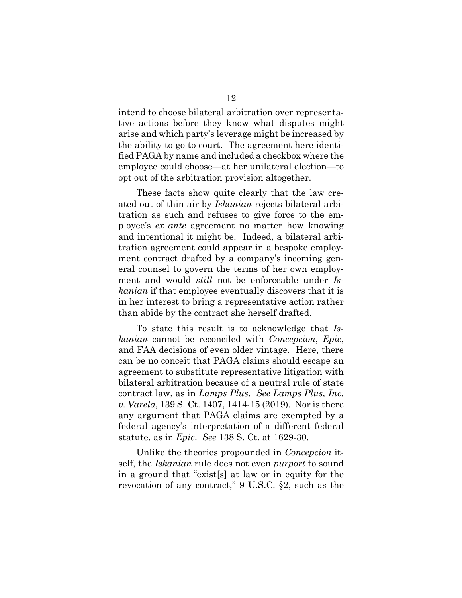intend to choose bilateral arbitration over representative actions before they know what disputes might arise and which party's leverage might be increased by the ability to go to court. The agreement here identified PAGA by name and included a checkbox where the employee could choose—at her unilateral election—to opt out of the arbitration provision altogether.

These facts show quite clearly that the law created out of thin air by *Iskanian* rejects bilateral arbitration as such and refuses to give force to the employee's *ex ante* agreement no matter how knowing and intentional it might be. Indeed, a bilateral arbitration agreement could appear in a bespoke employment contract drafted by a company's incoming general counsel to govern the terms of her own employment and would *still* not be enforceable under *Iskanian* if that employee eventually discovers that it is in her interest to bring a representative action rather than abide by the contract she herself drafted.

To state this result is to acknowledge that *Iskanian* cannot be reconciled with *Concepcion*, *Epic*, and FAA decisions of even older vintage. Here, there can be no conceit that PAGA claims should escape an agreement to substitute representative litigation with bilateral arbitration because of a neutral rule of state contract law, as in *Lamps Plus*. *See Lamps Plus, Inc. v. Varela*, 139 S. Ct. 1407, 1414-15 (2019). Nor is there any argument that PAGA claims are exempted by a federal agency's interpretation of a different federal statute, as in *Epic*. *See* 138 S. Ct. at 1629-30.

Unlike the theories propounded in *Concepcion* itself, the *Iskanian* rule does not even *purport* to sound in a ground that "exist[s] at law or in equity for the revocation of any contract," 9 U.S.C. §2, such as the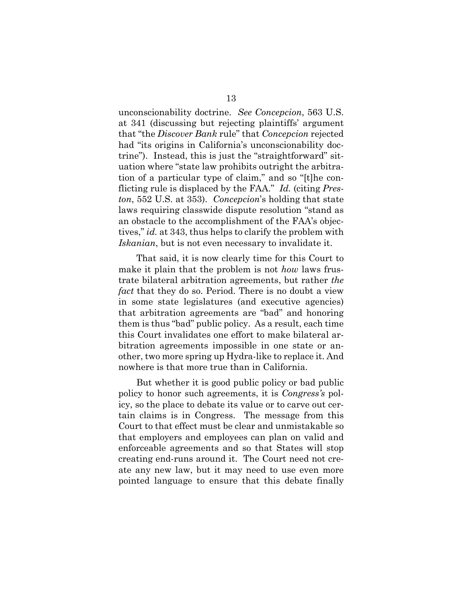unconscionability doctrine. *See Concepcion*, 563 U.S. at 341 (discussing but rejecting plaintiffs' argument that "the *Discover Bank* rule" that *Concepcion* rejected had "its origins in California's unconscionability doctrine"). Instead, this is just the "straightforward" situation where "state law prohibits outright the arbitration of a particular type of claim," and so "[t]he conflicting rule is displaced by the FAA." *Id.* (citing *Preston*, 552 U.S. at 353). *Concepcion*'s holding that state laws requiring classwide dispute resolution "stand as an obstacle to the accomplishment of the FAA's objectives," *id.* at 343, thus helps to clarify the problem with *Iskanian*, but is not even necessary to invalidate it.

That said, it is now clearly time for this Court to make it plain that the problem is not *how* laws frustrate bilateral arbitration agreements, but rather *the fact* that they do so. Period. There is no doubt a view in some state legislatures (and executive agencies) that arbitration agreements are "bad" and honoring them is thus "bad" public policy. As a result, each time this Court invalidates one effort to make bilateral arbitration agreements impossible in one state or another, two more spring up Hydra-like to replace it. And nowhere is that more true than in California.

But whether it is good public policy or bad public policy to honor such agreements, it is *Congress's* policy, so the place to debate its value or to carve out certain claims is in Congress. The message from this Court to that effect must be clear and unmistakable so that employers and employees can plan on valid and enforceable agreements and so that States will stop creating end-runs around it. The Court need not create any new law, but it may need to use even more pointed language to ensure that this debate finally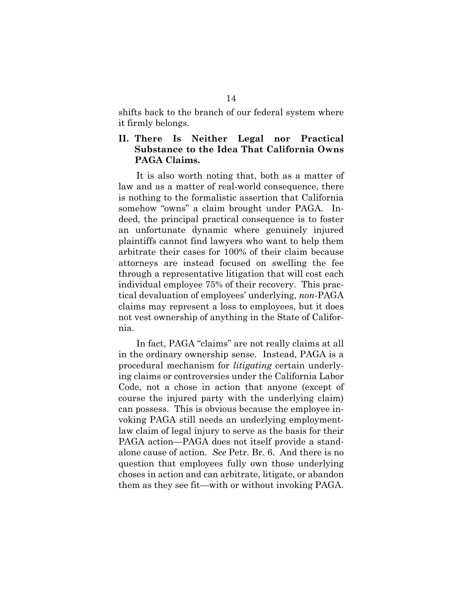shifts back to the branch of our federal system where it firmly belongs.

#### <span id="page-17-0"></span>**II. There Is Neither Legal nor Practical Substance to the Idea That California Owns PAGA Claims.**

It is also worth noting that, both as a matter of law and as a matter of real-world consequence, there is nothing to the formalistic assertion that California somehow "owns" a claim brought under PAGA. Indeed, the principal practical consequence is to foster an unfortunate dynamic where genuinely injured plaintiffs cannot find lawyers who want to help them arbitrate their cases for 100% of their claim because attorneys are instead focused on swelling the fee through a representative litigation that will cost each individual employee 75% of their recovery. This practical devaluation of employees' underlying, *non*-PAGA claims may represent a loss to employees, but it does not vest ownership of anything in the State of California.

In fact, PAGA "claims" are not really claims at all in the ordinary ownership sense. Instead, PAGA is a procedural mechanism for *litigating* certain underlying claims or controversies under the California Labor Code, not a chose in action that anyone (except of course the injured party with the underlying claim) can possess. This is obvious because the employee invoking PAGA still needs an underlying employmentlaw claim of legal injury to serve as the basis for their PAGA action—PAGA does not itself provide a standalone cause of action. *See* Petr. Br. 6. And there is no question that employees fully own those underlying choses in action and can arbitrate, litigate, or abandon them as they see fit—with or without invoking PAGA.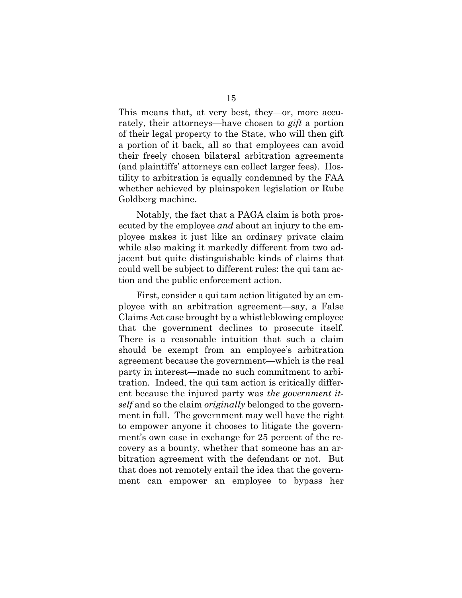This means that, at very best, they—or, more accurately, their attorneys—have chosen to *gift* a portion of their legal property to the State, who will then gift a portion of it back, all so that employees can avoid their freely chosen bilateral arbitration agreements (and plaintiffs' attorneys can collect larger fees). Hostility to arbitration is equally condemned by the FAA whether achieved by plainspoken legislation or Rube Goldberg machine.

Notably, the fact that a PAGA claim is both prosecuted by the employee *and* about an injury to the employee makes it just like an ordinary private claim while also making it markedly different from two adjacent but quite distinguishable kinds of claims that could well be subject to different rules: the qui tam action and the public enforcement action.

First, consider a qui tam action litigated by an employee with an arbitration agreement—say, a False Claims Act case brought by a whistleblowing employee that the government declines to prosecute itself. There is a reasonable intuition that such a claim should be exempt from an employee's arbitration agreement because the government—which is the real party in interest—made no such commitment to arbitration. Indeed, the qui tam action is critically different because the injured party was *the government itself* and so the claim *originally* belonged to the government in full. The government may well have the right to empower anyone it chooses to litigate the government's own case in exchange for 25 percent of the recovery as a bounty, whether that someone has an arbitration agreement with the defendant or not. But that does not remotely entail the idea that the government can empower an employee to bypass her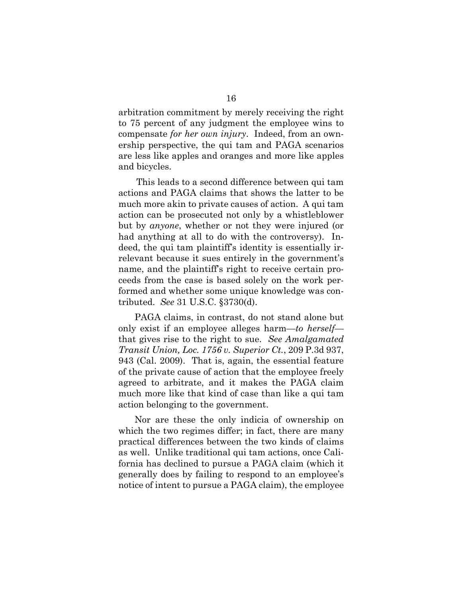arbitration commitment by merely receiving the right to 75 percent of any judgment the employee wins to compensate *for her own injury*. Indeed, from an ownership perspective, the qui tam and PAGA scenarios are less like apples and oranges and more like apples and bicycles.

This leads to a second difference between qui tam actions and PAGA claims that shows the latter to be much more akin to private causes of action. A qui tam action can be prosecuted not only by a whistleblower but by *anyone*, whether or not they were injured (or had anything at all to do with the controversy). Indeed, the qui tam plaintiff's identity is essentially irrelevant because it sues entirely in the government's name, and the plaintiff's right to receive certain proceeds from the case is based solely on the work performed and whether some unique knowledge was contributed. *See* 31 U.S.C. §3730(d).

PAGA claims, in contrast, do not stand alone but only exist if an employee alleges harm—*to herself* that gives rise to the right to sue. *See Amalgamated Transit Union, Loc. 1756 v. Superior Ct.*, 209 P.3d 937, 943 (Cal. 2009). That is, again, the essential feature of the private cause of action that the employee freely agreed to arbitrate, and it makes the PAGA claim much more like that kind of case than like a qui tam action belonging to the government.

Nor are these the only indicia of ownership on which the two regimes differ; in fact, there are many practical differences between the two kinds of claims as well. Unlike traditional qui tam actions, once California has declined to pursue a PAGA claim (which it generally does by failing to respond to an employee's notice of intent to pursue a PAGA claim), the employee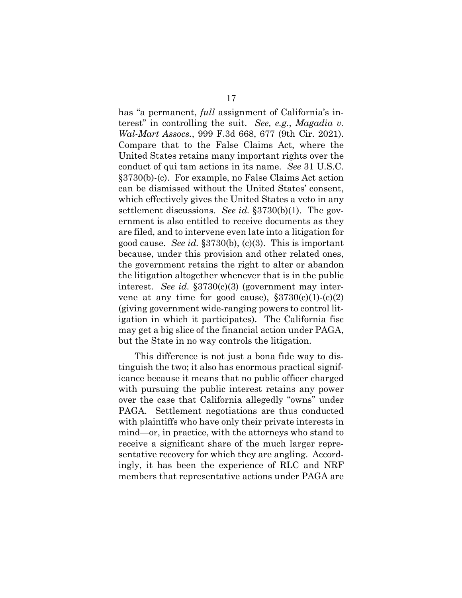has "a permanent, *full* assignment of California's interest" in controlling the suit. *See, e.g.*, *Magadia v. Wal-Mart Assocs.*, 999 F.3d 668, 677 (9th Cir. 2021). Compare that to the False Claims Act, where the United States retains many important rights over the conduct of qui tam actions in its name. *See* 31 U.S.C. §3730(b)-(c). For example, no False Claims Act action can be dismissed without the United States' consent, which effectively gives the United States a veto in any settlement discussions. *See id.* §3730(b)(1). The government is also entitled to receive documents as they are filed, and to intervene even late into a litigation for good cause. *See id.* §3730(b), (c)(3). This is important because, under this provision and other related ones, the government retains the right to alter or abandon the litigation altogether whenever that is in the public interest. *See id.* §3730(c)(3) (government may intervene at any time for good cause),  $\S 3730(c)(1)-(c)(2)$ (giving government wide-ranging powers to control litigation in which it participates). The California fisc may get a big slice of the financial action under PAGA, but the State in no way controls the litigation.

This difference is not just a bona fide way to distinguish the two; it also has enormous practical significance because it means that no public officer charged with pursuing the public interest retains any power over the case that California allegedly "owns" under PAGA. Settlement negotiations are thus conducted with plaintiffs who have only their private interests in mind—or, in practice, with the attorneys who stand to receive a significant share of the much larger representative recovery for which they are angling. Accordingly, it has been the experience of RLC and NRF members that representative actions under PAGA are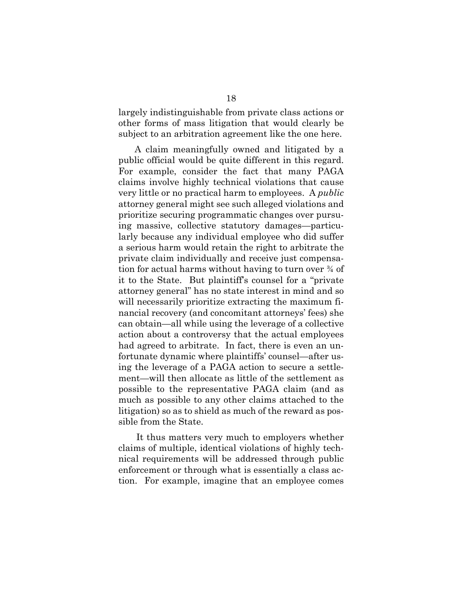largely indistinguishable from private class actions or other forms of mass litigation that would clearly be subject to an arbitration agreement like the one here.

A claim meaningfully owned and litigated by a public official would be quite different in this regard. For example, consider the fact that many PAGA claims involve highly technical violations that cause very little or no practical harm to employees. A *public* attorney general might see such alleged violations and prioritize securing programmatic changes over pursuing massive, collective statutory damages—particularly because any individual employee who did suffer a serious harm would retain the right to arbitrate the private claim individually and receive just compensation for actual harms without having to turn over ¾ of it to the State. But plaintiff's counsel for a "private attorney general" has no state interest in mind and so will necessarily prioritize extracting the maximum financial recovery (and concomitant attorneys' fees) she can obtain—all while using the leverage of a collective action about a controversy that the actual employees had agreed to arbitrate. In fact, there is even an unfortunate dynamic where plaintiffs' counsel—after using the leverage of a PAGA action to secure a settlement—will then allocate as little of the settlement as possible to the representative PAGA claim (and as much as possible to any other claims attached to the litigation) so as to shield as much of the reward as possible from the State.

It thus matters very much to employers whether claims of multiple, identical violations of highly technical requirements will be addressed through public enforcement or through what is essentially a class action. For example, imagine that an employee comes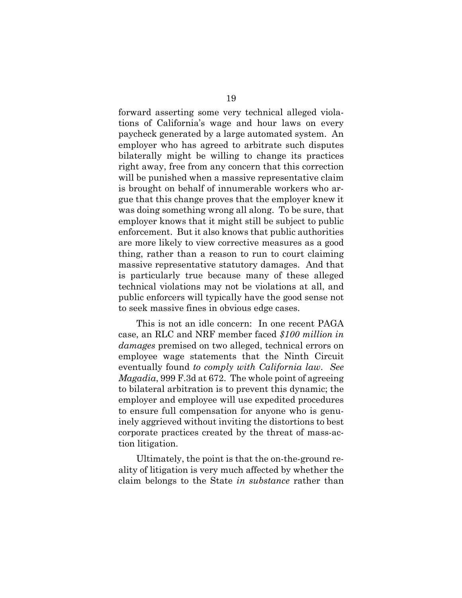forward asserting some very technical alleged violations of California's wage and hour laws on every paycheck generated by a large automated system. An employer who has agreed to arbitrate such disputes bilaterally might be willing to change its practices right away, free from any concern that this correction will be punished when a massive representative claim is brought on behalf of innumerable workers who argue that this change proves that the employer knew it was doing something wrong all along. To be sure, that employer knows that it might still be subject to public enforcement. But it also knows that public authorities are more likely to view corrective measures as a good thing, rather than a reason to run to court claiming massive representative statutory damages. And that is particularly true because many of these alleged technical violations may not be violations at all, and public enforcers will typically have the good sense not to seek massive fines in obvious edge cases.

This is not an idle concern: In one recent PAGA case, an RLC and NRF member faced *\$100 million in damages* premised on two alleged, technical errors on employee wage statements that the Ninth Circuit eventually found *to comply with California law*. *See Magadia*, 999 F.3d at 672. The whole point of agreeing to bilateral arbitration is to prevent this dynamic; the employer and employee will use expedited procedures to ensure full compensation for anyone who is genuinely aggrieved without inviting the distortions to best corporate practices created by the threat of mass-action litigation.

Ultimately, the point is that the on-the-ground reality of litigation is very much affected by whether the claim belongs to the State *in substance* rather than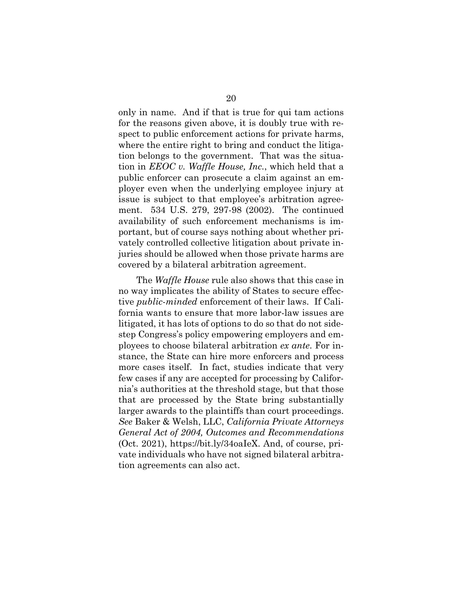only in name. And if that is true for qui tam actions for the reasons given above, it is doubly true with respect to public enforcement actions for private harms, where the entire right to bring and conduct the litigation belongs to the government. That was the situation in *EEOC v. Waffle House, Inc.*, which held that a public enforcer can prosecute a claim against an employer even when the underlying employee injury at issue is subject to that employee's arbitration agreement. 534 U.S. 279, 297-98 (2002). The continued availability of such enforcement mechanisms is important, but of course says nothing about whether privately controlled collective litigation about private injuries should be allowed when those private harms are covered by a bilateral arbitration agreement.

The *Waffle House* rule also shows that this case in no way implicates the ability of States to secure effective *public-minded* enforcement of their laws. If California wants to ensure that more labor-law issues are litigated, it has lots of options to do so that do not sidestep Congress's policy empowering employers and employees to choose bilateral arbitration *ex ante*. For instance, the State can hire more enforcers and process more cases itself. In fact, studies indicate that very few cases if any are accepted for processing by California's authorities at the threshold stage, but that those that are processed by the State bring substantially larger awards to the plaintiffs than court proceedings. *See* Baker & Welsh, LLC, *California Private Attorneys General Act of 2004, Outcomes and Recommendations* (Oct. 2021), https://bit.ly/34oaIeX. And, of course, private individuals who have not signed bilateral arbitration agreements can also act.